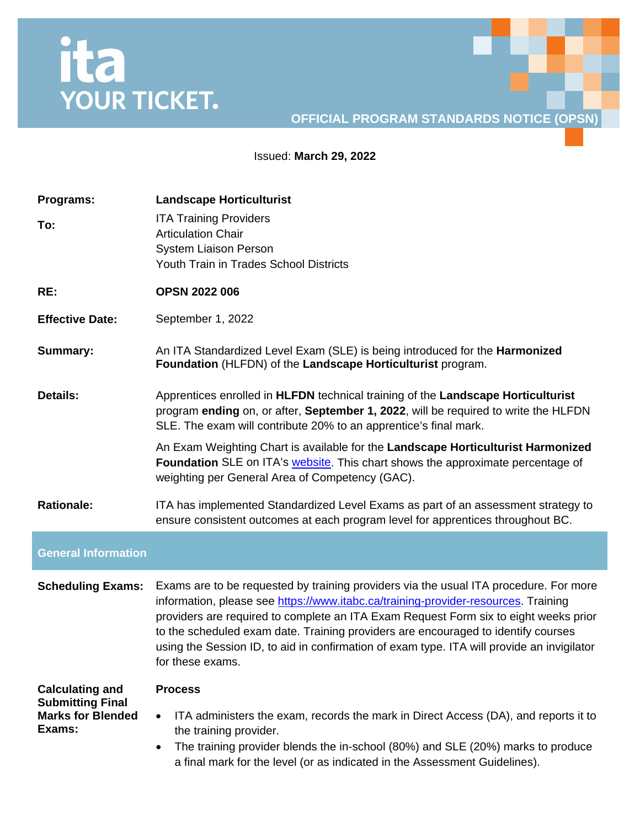## ita<br>YOUR TICKET.

## **OFFICIAL PROGRAM STANDARDS NOTICE (OPSN)**

Issued: **March 29, 2022**

| Programs:                                                                               | <b>Landscape Horticulturist</b>                                                                                                                                                                                                                                                                                                                                                                                                                                            |
|-----------------------------------------------------------------------------------------|----------------------------------------------------------------------------------------------------------------------------------------------------------------------------------------------------------------------------------------------------------------------------------------------------------------------------------------------------------------------------------------------------------------------------------------------------------------------------|
| To:                                                                                     | <b>ITA Training Providers</b><br><b>Articulation Chair</b><br><b>System Liaison Person</b><br>Youth Train in Trades School Districts                                                                                                                                                                                                                                                                                                                                       |
| RE:                                                                                     | <b>OPSN 2022 006</b>                                                                                                                                                                                                                                                                                                                                                                                                                                                       |
| <b>Effective Date:</b>                                                                  | September 1, 2022                                                                                                                                                                                                                                                                                                                                                                                                                                                          |
| <b>Summary:</b>                                                                         | An ITA Standardized Level Exam (SLE) is being introduced for the <b>Harmonized</b><br>Foundation (HLFDN) of the Landscape Horticulturist program.                                                                                                                                                                                                                                                                                                                          |
| <b>Details:</b>                                                                         | Apprentices enrolled in HLFDN technical training of the Landscape Horticulturist<br>program ending on, or after, September 1, 2022, will be required to write the HLFDN<br>SLE. The exam will contribute 20% to an apprentice's final mark.                                                                                                                                                                                                                                |
|                                                                                         | An Exam Weighting Chart is available for the Landscape Horticulturist Harmonized<br>Foundation SLE on ITA's website. This chart shows the approximate percentage of<br>weighting per General Area of Competency (GAC).                                                                                                                                                                                                                                                     |
| <b>Rationale:</b>                                                                       | ITA has implemented Standardized Level Exams as part of an assessment strategy to<br>ensure consistent outcomes at each program level for apprentices throughout BC.                                                                                                                                                                                                                                                                                                       |
| <b>General Information</b>                                                              |                                                                                                                                                                                                                                                                                                                                                                                                                                                                            |
| <b>Scheduling Exams:</b>                                                                | Exams are to be requested by training providers via the usual ITA procedure. For more<br>information, please see https://www.itabc.ca/training-provider-resources. Training<br>providers are required to complete an ITA Exam Request Form six to eight weeks prior<br>to the scheduled exam date. Training providers are encouraged to identify courses<br>using the Session ID, to aid in confirmation of exam type. ITA will provide an invigilator<br>for these exams. |
| <b>Calculating and</b><br><b>Submitting Final</b><br><b>Marks for Blended</b><br>Exams: | <b>Process</b><br>ITA administers the exam, records the mark in Direct Access (DA), and reports it to<br>٠<br>the training provider.<br>The training provider blends the in-school (80%) and SLE (20%) marks to produce<br>$\bullet$<br>a final mark for the level (or as indicated in the Assessment Guidelines).                                                                                                                                                         |